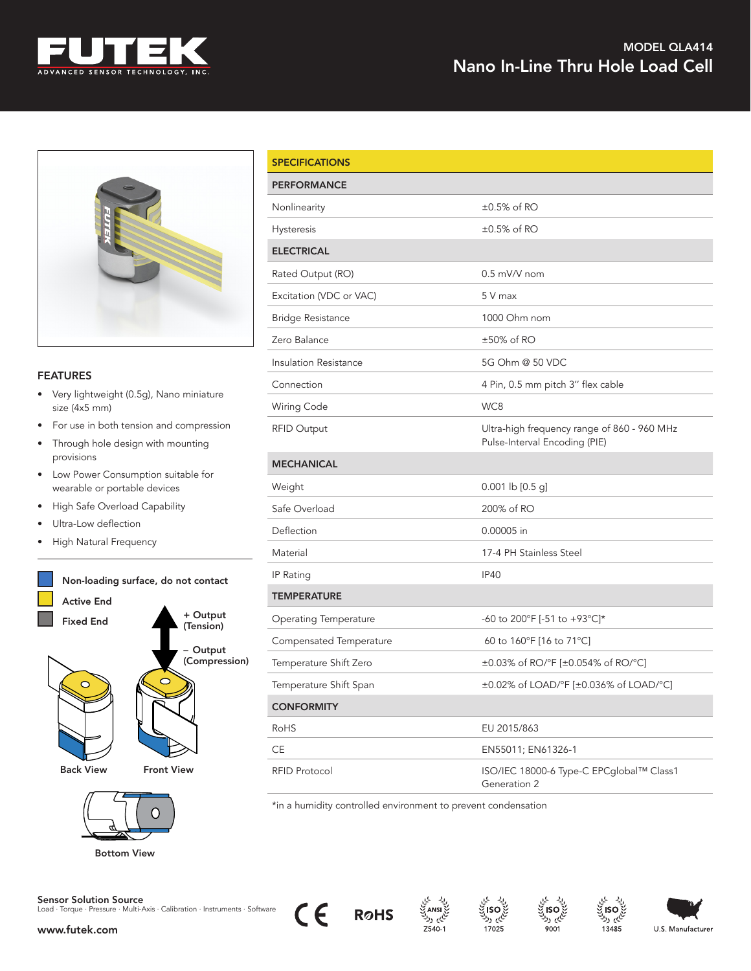



## **FEATURES**

- Very lightweight (0.5g), Nano miniature size (4x5 mm)
- For use in both tension and compression
- Through hole design with mounting provisions
- Low Power Consumption suitable for wearable or portable devices
- High Safe Overload Capability
- Ultra-Low deflection
- High Natural Frequency





| <b>SPECIFICATIONS</b>        |                                                                              |
|------------------------------|------------------------------------------------------------------------------|
| <b>PERFORMANCE</b>           |                                                                              |
| Nonlinearity                 | $\pm 0.5\%$ of RO                                                            |
| Hysteresis                   | $\pm 0.5\%$ of RO                                                            |
| <b>ELECTRICAL</b>            |                                                                              |
| Rated Output (RO)            | $0.5$ mV/V nom                                                               |
| Excitation (VDC or VAC)      | 5 V max                                                                      |
| <b>Bridge Resistance</b>     | 1000 Ohm nom                                                                 |
| Zero Balance                 | ±50% of RO                                                                   |
| Insulation Resistance        | 5G Ohm @ 50 VDC                                                              |
| Connection                   | 4 Pin, 0.5 mm pitch 3" flex cable                                            |
| Wiring Code                  | WC8                                                                          |
| <b>RFID Output</b>           | Ultra-high frequency range of 860 - 960 MHz<br>Pulse-Interval Encoding (PIE) |
| <b>MECHANICAL</b>            |                                                                              |
| Weight                       | $0.001$ lb $[0.5$ g]                                                         |
| Safe Overload                | 200% of RO                                                                   |
| Deflection                   | 0.00005 in                                                                   |
| Material                     | 17-4 PH Stainless Steel                                                      |
| IP Rating                    | <b>IP40</b>                                                                  |
| <b>TEMPERATURE</b>           |                                                                              |
| <b>Operating Temperature</b> | -60 to 200°F [-51 to +93°C]*                                                 |
| Compensated Temperature      | 60 to 160°F [16 to 71°C]                                                     |
| Temperature Shift Zero       | ±0.03% of RO/°F [±0.054% of RO/°C]                                           |
| Temperature Shift Span       | ±0.02% of LOAD/°F [±0.036% of LOAD/°C]                                       |
| <b>CONFORMITY</b>            |                                                                              |
| <b>RoHS</b>                  | EU 2015/863                                                                  |
| CE                           | EN55011; EN61326-1                                                           |
| <b>RFID Protocol</b>         | ISO/IEC 18000-6 Type-C EPCglobal™ Class1                                     |

\*in a humidity controlled environment to prevent condensation



CE





Generation 2



13485



Sensor Solution Source Load · Torque · Pressure · Multi-Axis · Calibration · Instruments · Software